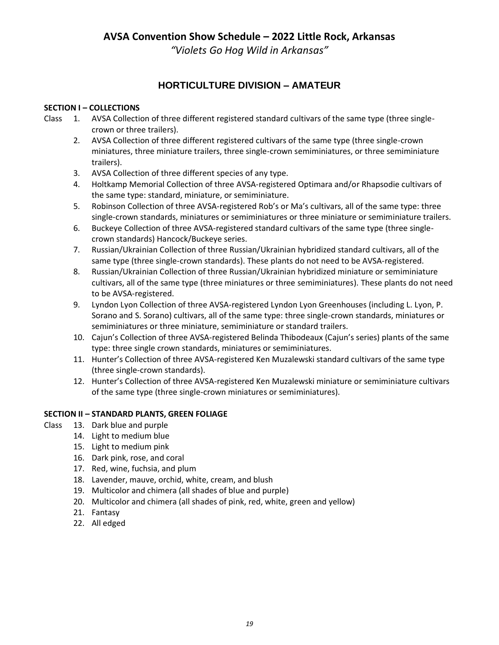**AVSA Convention Show Schedule – 2022 Little Rock, Arkansas**

*"Violets Go Hog Wild in Arkansas"*

# **HORTICULTURE DIVISION – AMATEUR**

# **SECTION I – COLLECTIONS**

- Class 1. AVSA Collection of three different registered standard cultivars of the same type (three singlecrown or three trailers).
	- 2. AVSA Collection of three different registered cultivars of the same type (three single-crown miniatures, three miniature trailers, three single-crown semiminiatures, or three semiminiature trailers).
	- 3. AVSA Collection of three different species of any type.
	- 4. Holtkamp Memorial Collection of three AVSA-registered Optimara and/or Rhapsodie cultivars of the same type: standard, miniature, or semiminiature.
	- 5. Robinson Collection of three AVSA-registered Rob's or Ma's cultivars, all of the same type: three single-crown standards, miniatures or semiminiatures or three miniature or semiminiature trailers.
	- 6. Buckeye Collection of three AVSA-registered standard cultivars of the same type (three singlecrown standards) Hancock/Buckeye series.
	- 7. Russian/Ukrainian Collection of three Russian/Ukrainian hybridized standard cultivars, all of the same type (three single-crown standards). These plants do not need to be AVSA-registered.
	- 8. Russian/Ukrainian Collection of three Russian/Ukrainian hybridized miniature or semiminiature cultivars, all of the same type (three miniatures or three semiminiatures). These plants do not need to be AVSA-registered.
	- 9. Lyndon Lyon Collection of three AVSA-registered Lyndon Lyon Greenhouses (including L. Lyon, P. Sorano and S. Sorano) cultivars, all of the same type: three single-crown standards, miniatures or semiminiatures or three miniature, semiminiature or standard trailers.
	- 10. Cajun's Collection of three AVSA-registered Belinda Thibodeaux (Cajun's series) plants of the same type: three single crown standards, miniatures or semiminiatures.
	- 11. Hunter's Collection of three AVSA-registered Ken Muzalewski standard cultivars of the same type (three single-crown standards).
	- 12. Hunter's Collection of three AVSA-registered Ken Muzalewski miniature or semiminiature cultivars of the same type (three single-crown miniatures or semiminiatures).

# **SECTION II – STANDARD PLANTS, GREEN FOLIAGE**

- Class 13. Dark blue and purple
	- 14. Light to medium blue
	- 15. Light to medium pink
	- 16. Dark pink, rose, and coral
	- 17. Red, wine, fuchsia, and plum
	- 18. Lavender, mauve, orchid, white, cream, and blush
	- 19. Multicolor and chimera (all shades of blue and purple)
	- 20. Multicolor and chimera (all shades of pink, red, white, green and yellow)
	- 21. Fantasy
	- 22. All edged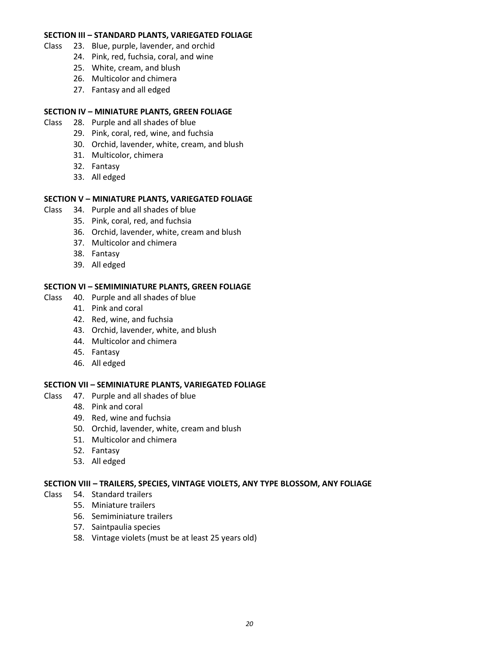### **SECTION III – STANDARD PLANTS, VARIEGATED FOLIAGE**

- Class 23. Blue, purple, lavender, and orchid
	- 24. Pink, red, fuchsia, coral, and wine
	- 25. White, cream, and blush
	- 26. Multicolor and chimera
	- 27. Fantasy and all edged

#### **SECTION IV – MINIATURE PLANTS, GREEN FOLIAGE**

- Class 28. Purple and all shades of blue
	- 29. Pink, coral, red, wine, and fuchsia
	- 30. Orchid, lavender, white, cream, and blush
	- 31. Multicolor, chimera
	- 32. Fantasy
	- 33. All edged

### **SECTION V – MINIATURE PLANTS, VARIEGATED FOLIAGE**

- Class 34. Purple and all shades of blue
	- 35. Pink, coral, red, and fuchsia
	- 36. Orchid, lavender, white, cream and blush
	- 37. Multicolor and chimera
	- 38. Fantasy
	- 39. All edged

#### **SECTION VI – SEMIMINIATURE PLANTS, GREEN FOLIAGE**

- Class 40. Purple and all shades of blue
	- 41. Pink and coral
	- 42. Red, wine, and fuchsia
	- 43. Orchid, lavender, white, and blush
	- 44. Multicolor and chimera
	- 45. Fantasy
	- 46. All edged

#### **SECTION VII – SEMINIATURE PLANTS, VARIEGATED FOLIAGE**

- Class 47. Purple and all shades of blue
	- 48. Pink and coral
	- 49. Red, wine and fuchsia
	- 50. Orchid, lavender, white, cream and blush
	- 51. Multicolor and chimera
	- 52. Fantasy
	- 53. All edged

#### **SECTION VIII – TRAILERS, SPECIES, VINTAGE VIOLETS, ANY TYPE BLOSSOM, ANY FOLIAGE**

- Class 54. Standard trailers
	- 55. Miniature trailers
	- 56. Semiminiature trailers
	- 57. Saintpaulia species
	- 58. Vintage violets (must be at least 25 years old)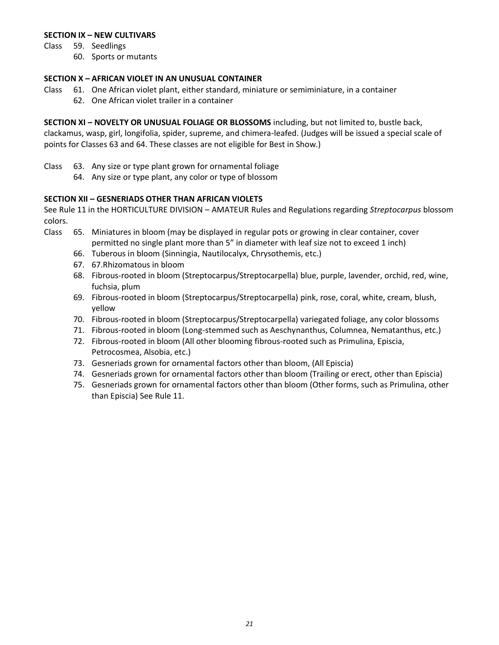### **SECTION IX – NEW CULTIVARS**

Class 59. Seedlings

60. Sports or mutants

### **SECTION X – AFRICAN VIOLET IN AN UNUSUAL CONTAINER**

- Class 61. One African violet plant, either standard, miniature or semiminiature, in a container
	- 62. One African violet trailer in a container

**SECTION XI – NOVELTY OR UNUSUAL FOLIAGE OR BLOSSOMS** including, but not limited to, bustle back, clackamus, wasp, girl, longifolia, spider, supreme, and chimera-leafed. (Judges will be issued a special scale of points for Classes 63 and 64. These classes are not eligible for Best in Show.)

- Class 63. Any size or type plant grown for ornamental foliage
	- 64. Any size or type plant, any color or type of blossom

# **SECTION XII – GESNERIADS OTHER THAN AFRICAN VIOLETS**

See Rule 11 in the HORTICULTURE DIVISION – AMATEUR Rules and Regulations regarding *Streptocarpus* blossom colors.

- Class 65. Miniatures in bloom (may be displayed in regular pots or growing in clear container, cover permitted no single plant more than 5" in diameter with leaf size not to exceed 1 inch)
	- 66. Tuberous in bloom (Sinningia, Nautilocalyx, Chrysothemis, etc.)
	- 67. 67.Rhizomatous in bloom
	- 68. Fibrous-rooted in bloom (Streptocarpus/Streptocarpella) blue, purple, lavender, orchid, red, wine, fuchsia, plum
	- 69. Fibrous-rooted in bloom (Streptocarpus/Streptocarpella) pink, rose, coral, white, cream, blush, yellow
	- 70. Fibrous-rooted in bloom (Streptocarpus/Streptocarpella) variegated foliage, any color blossoms
	- 71. Fibrous-rooted in bloom (Long-stemmed such as Aeschynanthus, Columnea, Nematanthus, etc.)
	- 72. Fibrous-rooted in bloom (All other blooming fibrous-rooted such as Primulina, Episcia, Petrocosmea, Alsobia, etc.)
	- 73. Gesneriads grown for ornamental factors other than bloom, (All Episcia)
	- 74. Gesneriads grown for ornamental factors other than bloom (Trailing or erect, other than Episcia)
	- 75. Gesneriads grown for ornamental factors other than bloom (Other forms, such as Primulina, other than Episcia) See Rule 11.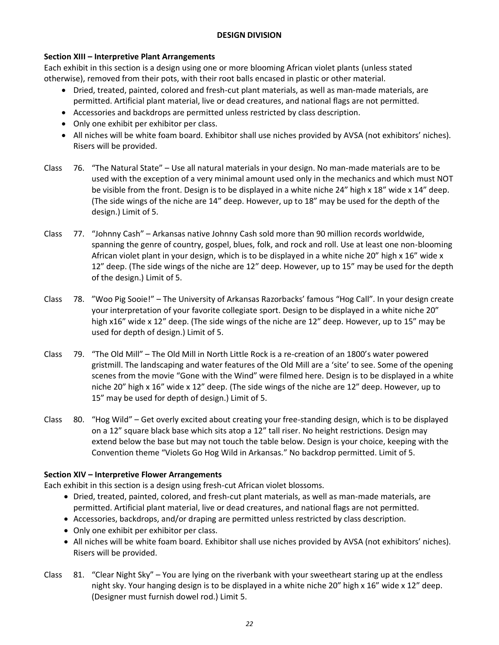### **DESIGN DIVISION**

# **Section XIII – Interpretive Plant Arrangements**

Each exhibit in this section is a design using one or more blooming African violet plants (unless stated otherwise), removed from their pots, with their root balls encased in plastic or other material.

- Dried, treated, painted, colored and fresh-cut plant materials, as well as man-made materials, are permitted. Artificial plant material, live or dead creatures, and national flags are not permitted.
- Accessories and backdrops are permitted unless restricted by class description.
- Only one exhibit per exhibitor per class.
- All niches will be white foam board. Exhibitor shall use niches provided by AVSA (not exhibitors' niches). Risers will be provided.
- Class 76. "The Natural State" Use all natural materials in your design. No man-made materials are to be used with the exception of a very minimal amount used only in the mechanics and which must NOT be visible from the front. Design is to be displayed in a white niche 24" high x 18" wide x 14" deep. (The side wings of the niche are 14" deep. However, up to 18" may be used for the depth of the design.) Limit of 5.
- Class 77. "Johnny Cash" Arkansas native Johnny Cash sold more than 90 million records worldwide, spanning the genre of country, gospel, blues, folk, and rock and roll. Use at least one non-blooming African violet plant in your design, which is to be displayed in a white niche 20" high x 16" wide x 12" deep. (The side wings of the niche are 12" deep. However, up to 15" may be used for the depth of the design.) Limit of 5.
- Class 78. "Woo Pig Sooie!" The University of Arkansas Razorbacks' famous "Hog Call". In your design create your interpretation of your favorite collegiate sport. Design to be displayed in a white niche 20" high x16" wide x 12" deep. (The side wings of the niche are 12" deep. However, up to 15" may be used for depth of design.) Limit of 5.
- Class 79. "The Old Mill" The Old Mill in North Little Rock is a re-creation of an 1800's water powered gristmill. The landscaping and water features of the Old Mill are a 'site' to see. Some of the opening scenes from the movie "Gone with the Wind" were filmed here. Design is to be displayed in a white niche 20" high x 16" wide x 12" deep. (The side wings of the niche are 12" deep. However, up to 15" may be used for depth of design.) Limit of 5.
- Class 80. "Hog Wild" Get overly excited about creating your free-standing design, which is to be displayed on a 12" square black base which sits atop a 12" tall riser. No height restrictions. Design may extend below the base but may not touch the table below. Design is your choice, keeping with the Convention theme "Violets Go Hog Wild in Arkansas." No backdrop permitted. Limit of 5.

# **Section XIV – Interpretive Flower Arrangements**

Each exhibit in this section is a design using fresh-cut African violet blossoms.

- Dried, treated, painted, colored, and fresh-cut plant materials, as well as man-made materials, are permitted. Artificial plant material, live or dead creatures, and national flags are not permitted.
- Accessories, backdrops, and/or draping are permitted unless restricted by class description.
- Only one exhibit per exhibitor per class.
- All niches will be white foam board. Exhibitor shall use niches provided by AVSA (not exhibitors' niches). Risers will be provided.
- Class 81. "Clear Night Sky" You are lying on the riverbank with your sweetheart staring up at the endless night sky. Your hanging design is to be displayed in a white niche 20" high x 16" wide x 12" deep. (Designer must furnish dowel rod.) Limit 5.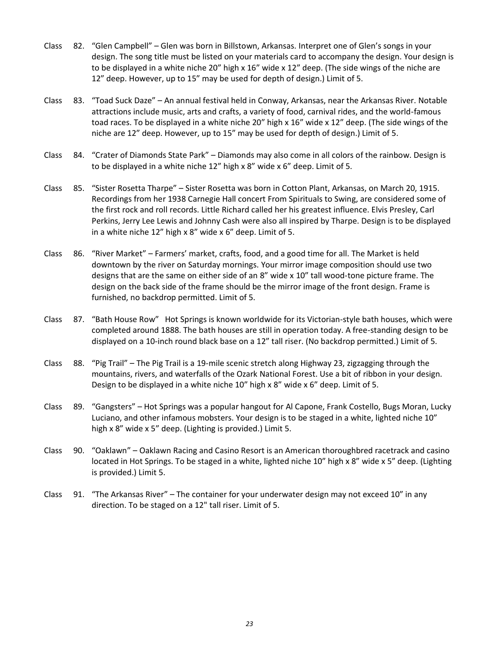- Class 82. "Glen Campbell" Glen was born in Billstown, Arkansas. Interpret one of Glen's songs in your design. The song title must be listed on your materials card to accompany the design. Your design is to be displayed in a white niche 20" high x 16" wide x 12" deep. (The side wings of the niche are 12" deep. However, up to 15" may be used for depth of design.) Limit of 5.
- Class 83. "Toad Suck Daze" An annual festival held in Conway, Arkansas, near the Arkansas River. Notable attractions include music, arts and crafts, a variety of food, carnival rides, and the world-famous toad races. To be displayed in a white niche 20" high x 16" wide x 12" deep. (The side wings of the niche are 12" deep. However, up to 15" may be used for depth of design.) Limit of 5.
- Class 84. "Crater of Diamonds State Park" Diamonds may also come in all colors of the rainbow. Design is to be displayed in a white niche 12" high x 8" wide x 6" deep. Limit of 5.
- Class 85. "Sister Rosetta Tharpe" Sister Rosetta was born in Cotton Plant, Arkansas, on March 20, 1915. Recordings from her 1938 Carnegie Hall concert From Spirituals to Swing, are considered some of the first rock and roll records. Little Richard called her his greatest influence. Elvis Presley, Carl Perkins, Jerry Lee Lewis and Johnny Cash were also all inspired by Tharpe. Design is to be displayed in a white niche 12" high x 8" wide x 6" deep. Limit of 5.
- Class 86. "River Market" Farmers' market, crafts, food, and a good time for all. The Market is held downtown by the river on Saturday mornings. Your mirror image composition should use two designs that are the same on either side of an 8" wide x 10" tall wood-tone picture frame. The design on the back side of the frame should be the mirror image of the front design. Frame is furnished, no backdrop permitted. Limit of 5.
- Class 87. "Bath House Row" Hot Springs is known worldwide for its Victorian-style bath houses, which were completed around 1888. The bath houses are still in operation today. A free-standing design to be displayed on a 10-inch round black base on a 12" tall riser. (No backdrop permitted.) Limit of 5.
- Class 88. "Pig Trail" The Pig Trail is a 19-mile scenic stretch along Highway 23, zigzagging through the mountains, rivers, and waterfalls of the Ozark National Forest. Use a bit of ribbon in your design. Design to be displayed in a white niche 10" high x 8" wide x 6" deep. Limit of 5.
- Class 89. "Gangsters" Hot Springs was a popular hangout for Al Capone, Frank Costello, Bugs Moran, Lucky Luciano, and other infamous mobsters. Your design is to be staged in a white, lighted niche 10" high x 8" wide x 5" deep. (Lighting is provided.) Limit 5.
- Class 90. "Oaklawn" Oaklawn Racing and Casino Resort is an American thoroughbred racetrack and casino located in Hot Springs. To be staged in a white, lighted niche 10" high x 8" wide x 5" deep. (Lighting is provided.) Limit 5.
- Class 91. "The Arkansas River" The container for your underwater design may not exceed 10" in any direction. To be staged on a 12" tall riser. Limit of 5.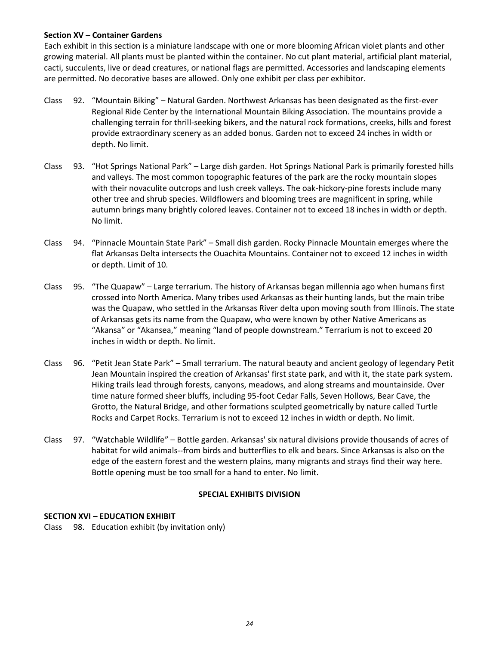### **Section XV – Container Gardens**

Each exhibit in this section is a miniature landscape with one or more blooming African violet plants and other growing material. All plants must be planted within the container. No cut plant material, artificial plant material, cacti, succulents, live or dead creatures, or national flags are permitted. Accessories and landscaping elements are permitted. No decorative bases are allowed. Only one exhibit per class per exhibitor.

- Class 92. "Mountain Biking" Natural Garden. Northwest Arkansas has been designated as the first-ever Regional Ride Center by the International Mountain Biking Association. The mountains provide a challenging terrain for thrill-seeking bikers, and the natural rock formations, creeks, hills and forest provide extraordinary scenery as an added bonus. Garden not to exceed 24 inches in width or depth. No limit.
- Class 93. "Hot Springs National Park" Large dish garden. Hot Springs National Park is primarily forested hills and valleys. The most common topographic features of the park are the rocky mountain slopes with their novaculite outcrops and lush creek valleys. The oak-hickory-pine forests include many other tree and shrub species. Wildflowers and blooming trees are magnificent in spring, while autumn brings many brightly colored leaves. Container not to exceed 18 inches in width or depth. No limit.
- Class 94. "Pinnacle Mountain State Park" Small dish garden. Rocky Pinnacle Mountain emerges where the flat Arkansas Delta intersects the Ouachita Mountains. Container not to exceed 12 inches in width or depth. Limit of 10.
- Class 95. "The Quapaw" Large terrarium. The history of Arkansas began millennia ago when humans first crossed into [North America.](https://en.wikipedia.org/wiki/North_America%22%20%5Co%20%22North%20America) Many tribes used Arkansas as their hunting lands, but the main tribe was the [Quapaw,](https://en.wikipedia.org/wiki/Quapaw_people%22%20%5Co%20%22Quapaw%20people) who settled in the [Arkansas River](https://en.wikipedia.org/wiki/Arkansas_River%22%20%5Co%20%22Arkansas%20River) delta upon moving south from [Illinois.](https://en.wikipedia.org/wiki/Illinois%22%20%5Co%20%22Illinois) The state of Arkansas gets its name from the Quapaw, who were known by other Native Americans as "Akansa" or "Akansea," meaning "land of people downstream." Terrarium is not to exceed 20 inches in width or depth. No limit.
- Class 96. "Petit Jean State Park" Small terrarium. The natural beauty and ancient geology of legendary Petit Jean Mountain inspired the creation of Arkansas' first state park, and with it, the state park system. Hiking trails lead through forests, canyons, meadows, and along streams and mountainside. Over time nature formed sheer bluffs, including 95-foot Cedar Falls, Seven Hollows, [Bear Cave,](http://www.petitjeanstatepark.com/thingstodo/trails/default.aspx?trailID=154) the Grotto, the Natural Bridge, and other formations sculpted geometrically by nature called Turtle Rocks and Carpet Rocks. Terrarium is not to exceed 12 inches in width or depth. No limit.
- Class 97. "Watchable Wildlife" Bottle garden. Arkansas' six natural divisions provide thousands of acres of habitat for wild animals--from birds and butterflies to elk and bears. Since Arkansas is also on the edge of the eastern forest and the western plains, many migrants and strays find their way here. Bottle opening must be too small for a hand to enter. No limit.

### **SPECIAL EXHIBITS DIVISION**

### **SECTION XVI – EDUCATION EXHIBIT**

Class 98. Education exhibit (by invitation only)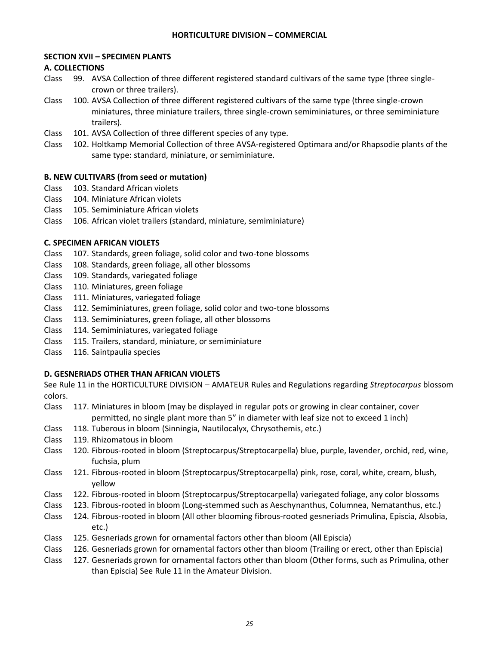### **SECTION XVII – SPECIMEN PLANTS**

### **A. COLLECTIONS**

- Class 99. AVSA Collection of three different registered standard cultivars of the same type (three singlecrown or three trailers).
- Class 100. AVSA Collection of three different registered cultivars of the same type (three single-crown miniatures, three miniature trailers, three single-crown semiminiatures, or three semiminiature trailers).
- Class 101. AVSA Collection of three different species of any type.
- Class 102. Holtkamp Memorial Collection of three AVSA-registered Optimara and/or Rhapsodie plants of the same type: standard, miniature, or semiminiature.

### **B. NEW CULTIVARS (from seed or mutation)**

- Class 103. Standard African violets
- Class 104. Miniature African violets
- Class 105. Semiminiature African violets
- Class 106. African violet trailers (standard, miniature, semiminiature)

### **C. SPECIMEN AFRICAN VIOLETS**

- Class 107. Standards, green foliage, solid color and two-tone blossoms
- Class 108. Standards, green foliage, all other blossoms
- Class 109. Standards, variegated foliage
- Class 110. Miniatures, green foliage
- Class 111. Miniatures, variegated foliage
- Class 112. Semiminiatures, green foliage, solid color and two-tone blossoms
- Class 113. Semiminiatures, green foliage, all other blossoms
- Class 114. Semiminiatures, variegated foliage
- Class 115. Trailers, standard, miniature, or semiminiature
- Class 116. Saintpaulia species

# **D. GESNERIADS OTHER THAN AFRICAN VIOLETS**

See Rule 11 in the HORTICULTURE DIVISION – AMATEUR Rules and Regulations regarding *Streptocarpus* blossom colors.

- Class 117. Miniatures in bloom (may be displayed in regular pots or growing in clear container, cover permitted, no single plant more than 5" in diameter with leaf size not to exceed 1 inch)
- Class 118. Tuberous in bloom (Sinningia, Nautilocalyx, Chrysothemis, etc.)
- Class 119. Rhizomatous in bloom
- Class 120. Fibrous-rooted in bloom (Streptocarpus/Streptocarpella) blue, purple, lavender, orchid, red, wine, fuchsia, plum
- Class 121. Fibrous-rooted in bloom (Streptocarpus/Streptocarpella) pink, rose, coral, white, cream, blush, yellow
- Class 122. Fibrous-rooted in bloom (Streptocarpus/Streptocarpella) variegated foliage, any color blossoms
- Class 123. Fibrous-rooted in bloom (Long-stemmed such as Aeschynanthus, Columnea, Nematanthus, etc.)
- Class 124. Fibrous-rooted in bloom (All other blooming fibrous-rooted gesneriads Primulina, Episcia, Alsobia, etc.)
- Class 125. Gesneriads grown for ornamental factors other than bloom (All Episcia)
- Class 126. Gesneriads grown for ornamental factors other than bloom (Trailing or erect, other than Episcia)
- Class 127. Gesneriads grown for ornamental factors other than bloom (Other forms, such as Primulina, other than Episcia) See Rule 11 in the Amateur Division.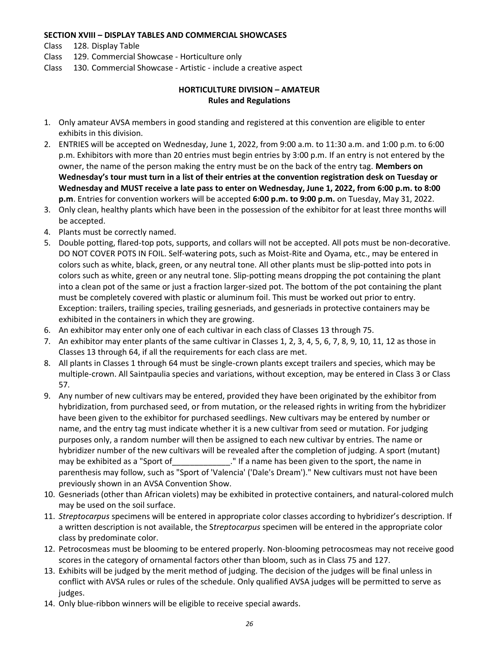#### **SECTION XVIII – DISPLAY TABLES AND COMMERCIAL SHOWCASES**

- Class 128. Display Table
- Class 129. Commercial Showcase Horticulture only
- Class 130. Commercial Showcase Artistic include a creative aspect

# **HORTICULTURE DIVISION – AMATEUR Rules and Regulations**

- 1. Only amateur AVSA members in good standing and registered at this convention are eligible to enter exhibits in this division.
- 2. ENTRIES will be accepted on Wednesday, June 1, 2022, from 9:00 a.m. to 11:30 a.m. and 1:00 p.m. to 6:00 p.m. Exhibitors with more than 20 entries must begin entries by 3:00 p.m. If an entry is not entered by the owner, the name of the person making the entry must be on the back of the entry tag. **Members on Wednesday's tour must turn in a list of their entries at the convention registration desk on Tuesday or Wednesday and MUST receive a late pass to enter on Wednesday, June 1, 2022, from 6:00 p.m. to 8:00 p.m**. Entries for convention workers will be accepted **6:00 p.m. to 9:00 p.m.** on Tuesday, May 31, 2022.
- 3. Only clean, healthy plants which have been in the possession of the exhibitor for at least three months will be accepted.
- 4. Plants must be correctly named.
- 5. Double potting, flared-top pots, supports, and collars will not be accepted. All pots must be non-decorative. DO NOT COVER POTS IN FOIL. Self-watering pots, such as Moist-Rite and Oyama, etc., may be entered in colors such as white, black, green, or any neutral tone. All other plants must be slip-potted into pots in colors such as white, green or any neutral tone. Slip-potting means dropping the pot containing the plant into a clean pot of the same or just a fraction larger-sized pot. The bottom of the pot containing the plant must be completely covered with plastic or aluminum foil. This must be worked out prior to entry. Exception: trailers, trailing species, trailing gesneriads, and gesneriads in protective containers may be exhibited in the containers in which they are growing.
- 6. An exhibitor may enter only one of each cultivar in each class of Classes 13 through 75.
- 7. An exhibitor may enter plants of the same cultivar in Classes 1, 2, 3, 4, 5, 6, 7, 8, 9, 10, 11, 12 as those in Classes 13 through 64, if all the requirements for each class are met.
- 8. All plants in Classes 1 through 64 must be single-crown plants except trailers and species, which may be multiple-crown. All Saintpaulia species and variations, without exception, may be entered in Class 3 or Class 57.
- 9. Any number of new cultivars may be entered, provided they have been originated by the exhibitor from hybridization, from purchased seed, or from mutation, or the released rights in writing from the hybridizer have been given to the exhibitor for purchased seedlings. New cultivars may be entered by number or name, and the entry tag must indicate whether it is a new cultivar from seed or mutation. For judging purposes only, a random number will then be assigned to each new cultivar by entries. The name or hybridizer number of the new cultivars will be revealed after the completion of judging. A sport (mutant) may be exhibited as a "Sport of \_\_\_\_\_\_\_\_\_\_\_\_\_." If a name has been given to the sport, the name in parenthesis may follow, such as "Sport of 'Valencia' ('Dale's Dream')." New cultivars must not have been previously shown in an AVSA Convention Show.
- 10. Gesneriads (other than African violets) may be exhibited in protective containers, and natural-colored mulch may be used on the soil surface.
- 11. *Streptocarpus* specimens will be entered in appropriate color classes according to hybridizer's description. If a written description is not available, the S*treptocarpus* specimen will be entered in the appropriate color class by predominate color.
- 12. Petrocosmeas must be blooming to be entered properly. Non-blooming petrocosmeas may not receive good scores in the category of ornamental factors other than bloom, such as in Class 75 and 127.
- 13. Exhibits will be judged by the merit method of judging. The decision of the judges will be final unless in conflict with AVSA rules or rules of the schedule. Only qualified AVSA judges will be permitted to serve as judges.
- 14. Only blue-ribbon winners will be eligible to receive special awards.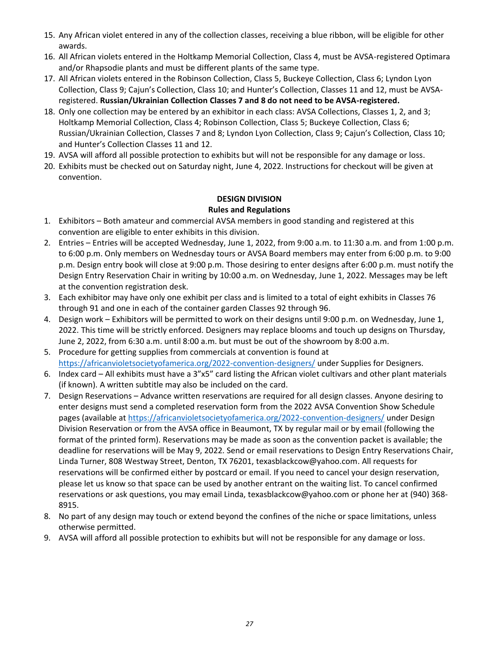- 15. Any African violet entered in any of the collection classes, receiving a blue ribbon, will be eligible for other awards.
- 16. All African violets entered in the Holtkamp Memorial Collection, Class 4, must be AVSA-registered Optimara and/or Rhapsodie plants and must be different plants of the same type.
- 17. All African violets entered in the Robinson Collection, Class 5, Buckeye Collection, Class 6; Lyndon Lyon Collection, Class 9; Cajun's Collection, Class 10; and Hunter's Collection, Classes 11 and 12, must be AVSAregistered. **Russian/Ukrainian Collection Classes 7 and 8 do not need to be AVSA-registered.**
- 18. Only one collection may be entered by an exhibitor in each class: AVSA Collections, Classes 1, 2, and 3; Holtkamp Memorial Collection, Class 4; Robinson Collection, Class 5; Buckeye Collection, Class 6; Russian/Ukrainian Collection, Classes 7 and 8; Lyndon Lyon Collection, Class 9; Cajun's Collection, Class 10; and Hunter's Collection Classes 11 and 12.
- 19. AVSA will afford all possible protection to exhibits but will not be responsible for any damage or loss.
- 20. Exhibits must be checked out on Saturday night, June 4, 2022. Instructions for checkout will be given at convention.

# **DESIGN DIVISION Rules and Regulations**

- 1. Exhibitors Both amateur and commercial AVSA members in good standing and registered at this convention are eligible to enter exhibits in this division.
- 2. Entries Entries will be accepted Wednesday, June 1, 2022, from 9:00 a.m. to 11:30 a.m. and from 1:00 p.m. to 6:00 p.m. Only members on Wednesday tours or AVSA Board members may enter from 6:00 p.m. to 9:00 p.m. Design entry book will close at 9:00 p.m. Those desiring to enter designs after 6:00 p.m. must notify the Design Entry Reservation Chair in writing by 10:00 a.m. on Wednesday, June 1, 2022. Messages may be left at the convention registration desk.
- 3. Each exhibitor may have only one exhibit per class and is limited to a total of eight exhibits in Classes 76 through 91 and one in each of the container garden Classes 92 through 96.
- 4. Design work Exhibitors will be permitted to work on their designs until 9:00 p.m. on Wednesday, June 1, 2022. This time will be strictly enforced. Designers may replace blooms and touch up designs on Thursday, June 2, 2022, from 6:30 a.m. until 8:00 a.m. but must be out of the showroom by 8:00 a.m.
- 5. Procedure for getting supplies from commercials at convention is found at <https://africanvioletsocietyofamerica.org/2022-convention-designers/> under Supplies for Designers.
- 6. Index card All exhibits must have a 3"x5" card listing the African violet cultivars and other plant materials (if known). A written subtitle may also be included on the card.
- 7. Design Reservations Advance written reservations are required for all design classes. Anyone desiring to enter designs must send a completed reservation form from the 2022 AVSA Convention Show Schedule pages (available at<https://africanvioletsocietyofamerica.org/2022-convention-designers/> under Design Division Reservation or from the AVSA office in Beaumont, TX by regular mail or by email (following the format of the printed form). Reservations may be made as soon as the convention packet is available; the deadline for reservations will be May 9, 2022. Send or email reservations to Design Entry Reservations Chair, Linda Turner, 808 Westway Street, Denton, TX 76201, [texasblackcow@yahoo.com.](mailto:texasblackcow@yahoo.com) All requests for reservations will be confirmed either by postcard or email. If you need to cancel your design reservation, please let us know so that space can be used by another entrant on the waiting list. To cancel confirmed reservations or ask questions, you may email Linda, [texasblackcow@yahoo.com](mailto:texasblackcow@yahoo.com) or phone her at (940) 368- 8915.
- 8. No part of any design may touch or extend beyond the confines of the niche or space limitations, unless otherwise permitted.
- 9. AVSA will afford all possible protection to exhibits but will not be responsible for any damage or loss.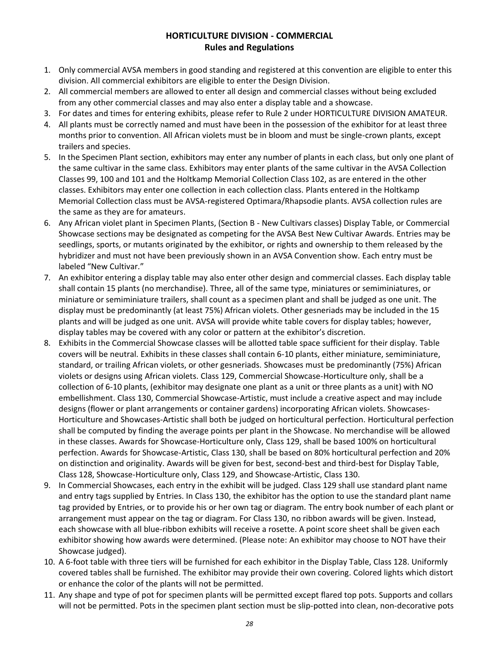# **HORTICULTURE DIVISION - COMMERCIAL Rules and Regulations**

- 1. Only commercial AVSA members in good standing and registered at this convention are eligible to enter this division. All commercial exhibitors are eligible to enter the Design Division.
- 2. All commercial members are allowed to enter all design and commercial classes without being excluded from any other commercial classes and may also enter a display table and a showcase.
- 3. For dates and times for entering exhibits, please refer to Rule 2 under HORTICULTURE DIVISION AMATEUR.
- 4. All plants must be correctly named and must have been in the possession of the exhibitor for at least three months prior to convention. All African violets must be in bloom and must be single-crown plants, except trailers and species.
- 5. In the Specimen Plant section, exhibitors may enter any number of plants in each class, but only one plant of the same cultivar in the same class. Exhibitors may enter plants of the same cultivar in the AVSA Collection Classes 99, 100 and 101 and the Holtkamp Memorial Collection Class 102, as are entered in the other classes. Exhibitors may enter one collection in each collection class. Plants entered in the Holtkamp Memorial Collection class must be AVSA-registered Optimara/Rhapsodie plants. AVSA collection rules are the same as they are for amateurs.
- 6. Any African violet plant in Specimen Plants, (Section B New Cultivars classes) Display Table, or Commercial Showcase sections may be designated as competing for the AVSA Best New Cultivar Awards. Entries may be seedlings, sports, or mutants originated by the exhibitor, or rights and ownership to them released by the hybridizer and must not have been previously shown in an AVSA Convention show. Each entry must be labeled "New Cultivar."
- 7. An exhibitor entering a display table may also enter other design and commercial classes. Each display table shall contain 15 plants (no merchandise). Three, all of the same type, miniatures or semiminiatures, or miniature or semiminiature trailers, shall count as a specimen plant and shall be judged as one unit. The display must be predominantly (at least 75%) African violets. Other gesneriads may be included in the 15 plants and will be judged as one unit. AVSA will provide white table covers for display tables; however, display tables may be covered with any color or pattern at the exhibitor's discretion.
- 8. Exhibits in the Commercial Showcase classes will be allotted table space sufficient for their display. Table covers will be neutral. Exhibits in these classes shall contain 6-10 plants, either miniature, semiminiature, standard, or trailing African violets, or other gesneriads. Showcases must be predominantly (75%) African violets or designs using African violets. Class 129, Commercial Showcase-Horticulture only, shall be a collection of 6-10 plants, (exhibitor may designate one plant as a unit or three plants as a unit) with NO embellishment. Class 130, Commercial Showcase-Artistic, must include a creative aspect and may include designs (flower or plant arrangements or container gardens) incorporating African violets. Showcases-Horticulture and Showcases-Artistic shall both be judged on horticultural perfection. Horticultural perfection shall be computed by finding the average points per plant in the Showcase. No merchandise will be allowed in these classes. Awards for Showcase-Horticulture only, Class 129, shall be based 100% on horticultural perfection. Awards for Showcase-Artistic, Class 130, shall be based on 80% horticultural perfection and 20% on distinction and originality. Awards will be given for best, second-best and third-best for Display Table, Class 128, Showcase-Horticulture only, Class 129, and Showcase-Artistic, Class 130.
- 9. In Commercial Showcases, each entry in the exhibit will be judged. Class 129 shall use standard plant name and entry tags supplied by Entries. In Class 130, the exhibitor has the option to use the standard plant name tag provided by Entries, or to provide his or her own tag or diagram. The entry book number of each plant or arrangement must appear on the tag or diagram. For Class 130, no ribbon awards will be given. Instead, each showcase with all blue-ribbon exhibits will receive a rosette. A point score sheet shall be given each exhibitor showing how awards were determined. (Please note: An exhibitor may choose to NOT have their Showcase judged).
- 10. A 6-foot table with three tiers will be furnished for each exhibitor in the Display Table, Class 128. Uniformly covered tables shall be furnished. The exhibitor may provide their own covering. Colored lights which distort or enhance the color of the plants will not be permitted.
- 11. Any shape and type of pot for specimen plants will be permitted except flared top pots. Supports and collars will not be permitted. Pots in the specimen plant section must be slip-potted into clean, non-decorative pots